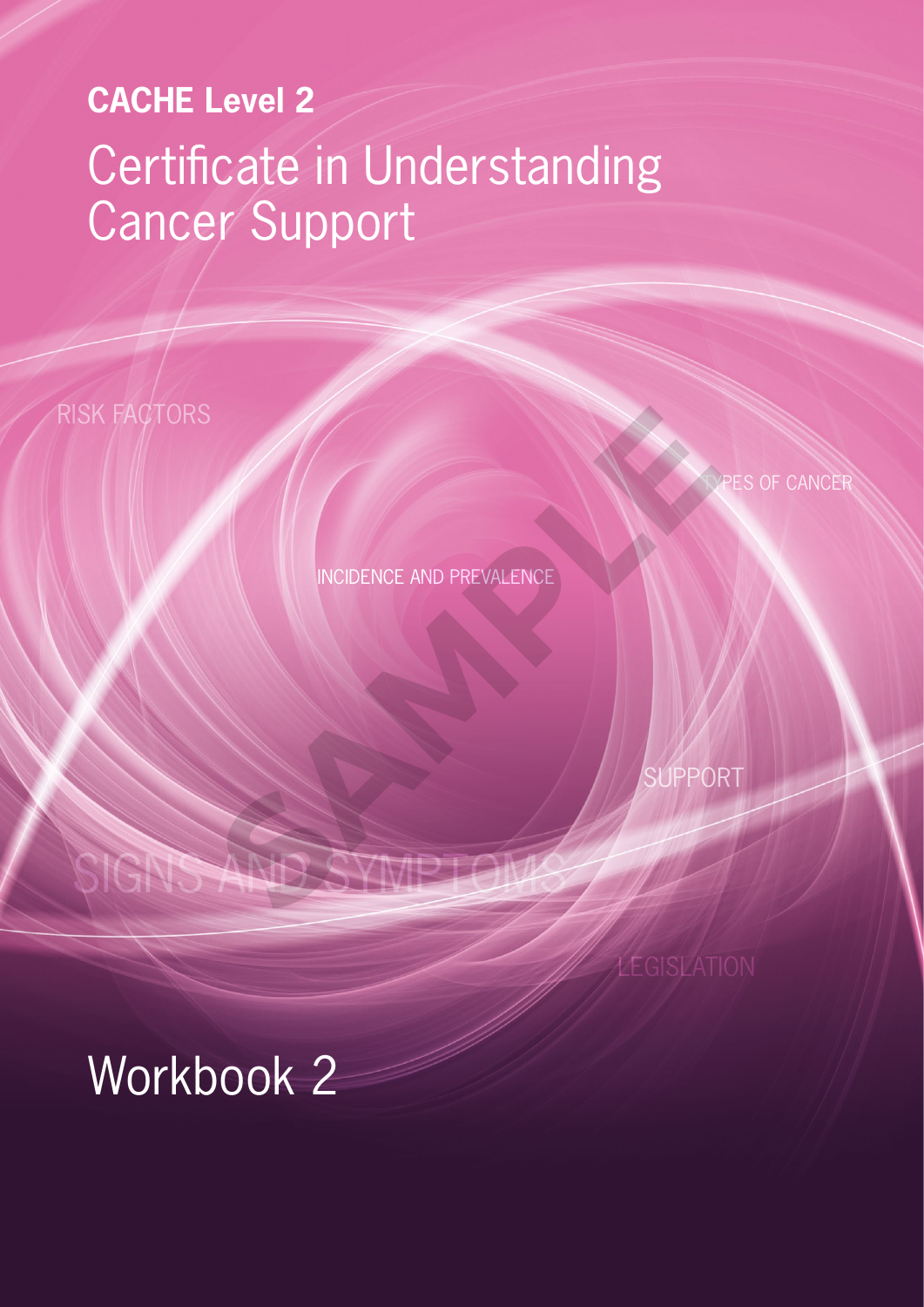# **CACHE Level 2** Certificate in Understanding Cancer Support

RISK FACTORS

PES OF CANCER

INCIDENCE AND PREVALENCE

SUPPORT

# SIGNS AND SYMPTOMS INCIDENCE AND PREVALENCE

# Workbook 2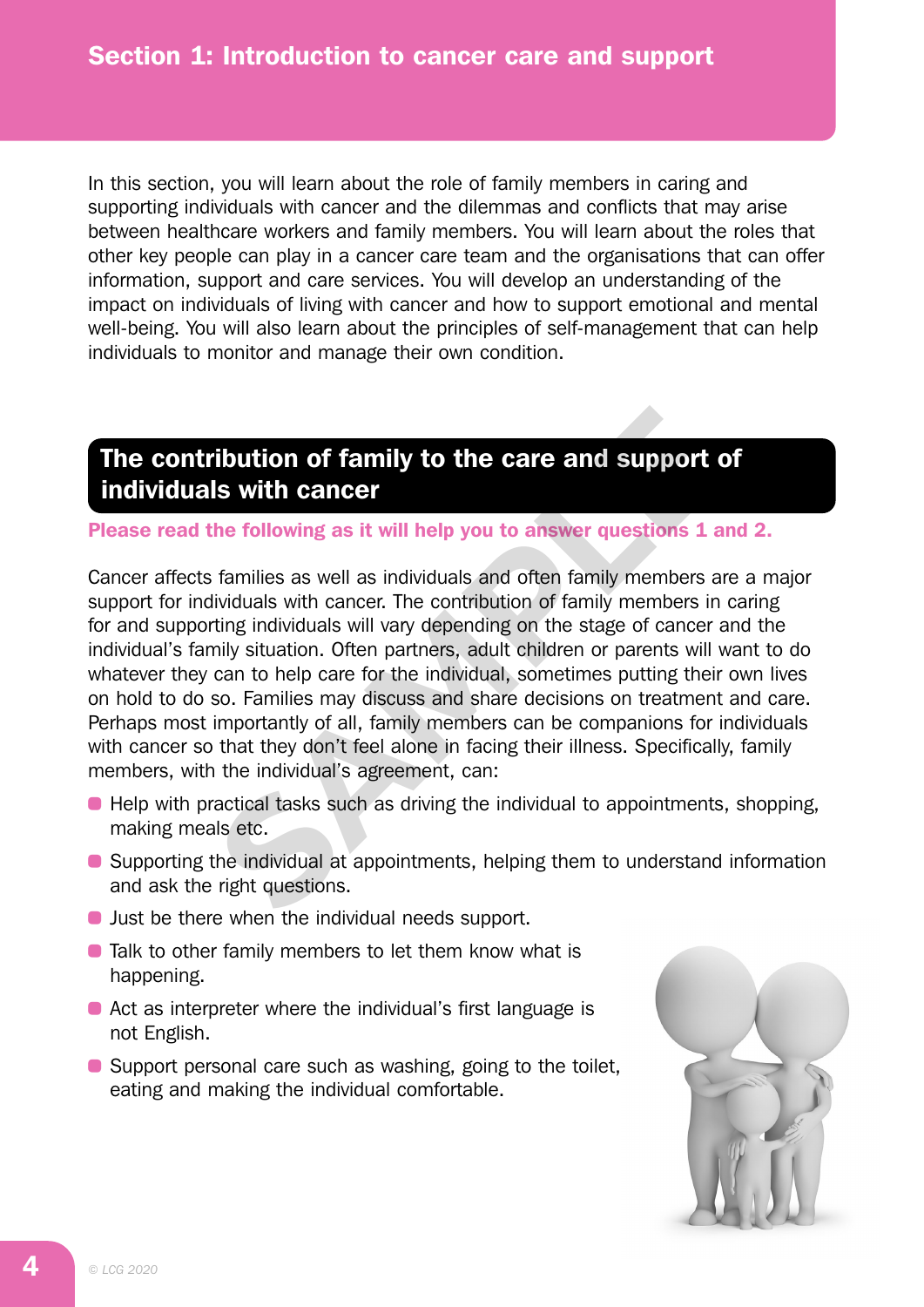In this section, you will learn about the role of family members in caring and supporting individuals with cancer and the dilemmas and conflicts that may arise between healthcare workers and family members. You will learn about the roles that other key people can play in a cancer care team and the organisations that can offer information, support and care services. You will develop an understanding of the impact on individuals of living with cancer and how to support emotional and mental well-being. You will also learn about the principles of self-management that can help individuals to monitor and manage their own condition.

# The contribution of family to the care and support of individuals with cancer

Please read the following as it will help you to answer questions 1 and 2.

Cancer affects families as well as individuals and often family members are a major support for individuals with cancer. The contribution of family members in caring for and supporting individuals will vary depending on the stage of cancer and the individual's family situation. Often partners, adult children or parents will want to do whatever they can to help care for the individual, sometimes putting their own lives on hold to do so. Families may discuss and share decisions on treatment and care. Perhaps most importantly of all, family members can be companions for individuals with cancer so that they don't feel alone in facing their illness. Specifically, family members, with the individual's agreement, can: **ribution of family to the care and support (**<br> **Is with cancer**<br>
the following as it will help you to answer questions 1 a<br>
stamilies as well as individuals and often family members a<br>
dividuals with cancer. The contribut

- Help with practical tasks such as driving the individual to appointments, shopping, making meals etc.
- Supporting the individual at appointments, helping them to understand information and ask the right questions.
- **Just be there when the individual needs support.**
- Talk to other family members to let them know what is happening.
- Act as interpreter where the individual's first language is not English.
- Support personal care such as washing, going to the toilet, eating and making the individual comfortable.

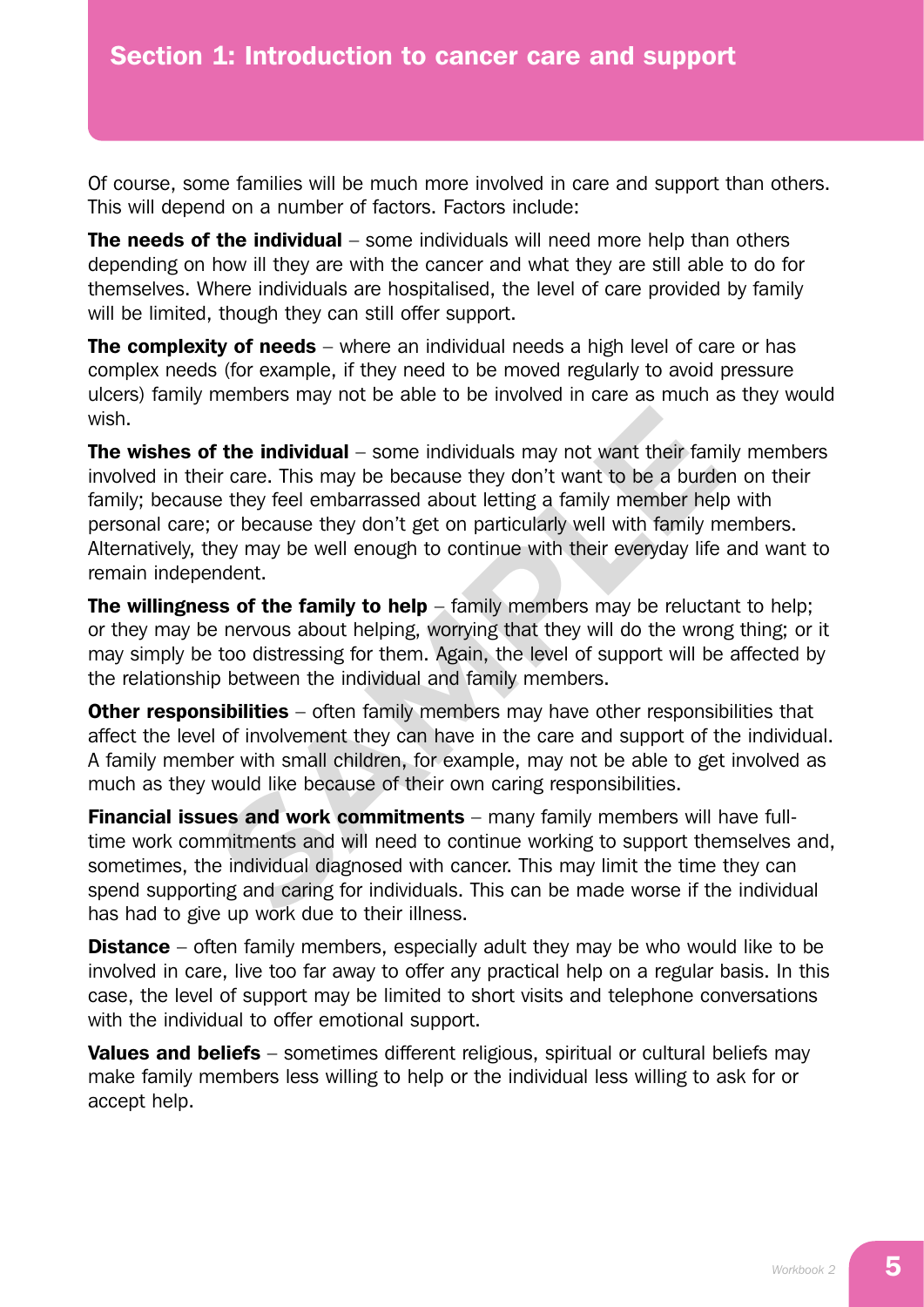Of course, some families will be much more involved in care and support than others. This will depend on a number of factors. Factors include:

**The needs of the individual** – some individuals will need more help than others depending on how ill they are with the cancer and what they are still able to do for themselves. Where individuals are hospitalised, the level of care provided by family will be limited, though they can still offer support.

**The complexity of needs** – where an individual needs a high level of care or has complex needs (for example, if they need to be moved regularly to avoid pressure ulcers) family members may not be able to be involved in care as much as they would wish.

The wishes of the individual – some individuals may not want their family members involved in their care. This may be because they don't want to be a burden on their family; because they feel embarrassed about letting a family member help with personal care; or because they don't get on particularly well with family members. Alternatively, they may be well enough to continue with their everyday life and want to remain independent. **f the individual** – some individuals may not want their fam<br>ir care. This may be because they don't want to be a burde<br>e they feel embarrassed about letting a family member hell;<br>or because they don't get on particularly

The willingness of the family to help  $-$  family members may be reluctant to help: or they may be nervous about helping, worrying that they will do the wrong thing; or it may simply be too distressing for them. Again, the level of support will be affected by the relationship between the individual and family members.

**Other responsibilities** – often family members may have other responsibilities that affect the level of involvement they can have in the care and support of the individual. A family member with small children, for example, may not be able to get involved as much as they would like because of their own caring responsibilities.

**Financial issues and work commitments** – many family members will have fulltime work commitments and will need to continue working to support themselves and, sometimes, the individual diagnosed with cancer. This may limit the time they can spend supporting and caring for individuals. This can be made worse if the individual has had to give up work due to their illness.

**Distance** – often family members, especially adult they may be who would like to be involved in care, live too far away to offer any practical help on a regular basis. In this case, the level of support may be limited to short visits and telephone conversations with the individual to offer emotional support.

Values and beliefs – sometimes different religious, spiritual or cultural beliefs may make family members less willing to help or the individual less willing to ask for or accept help.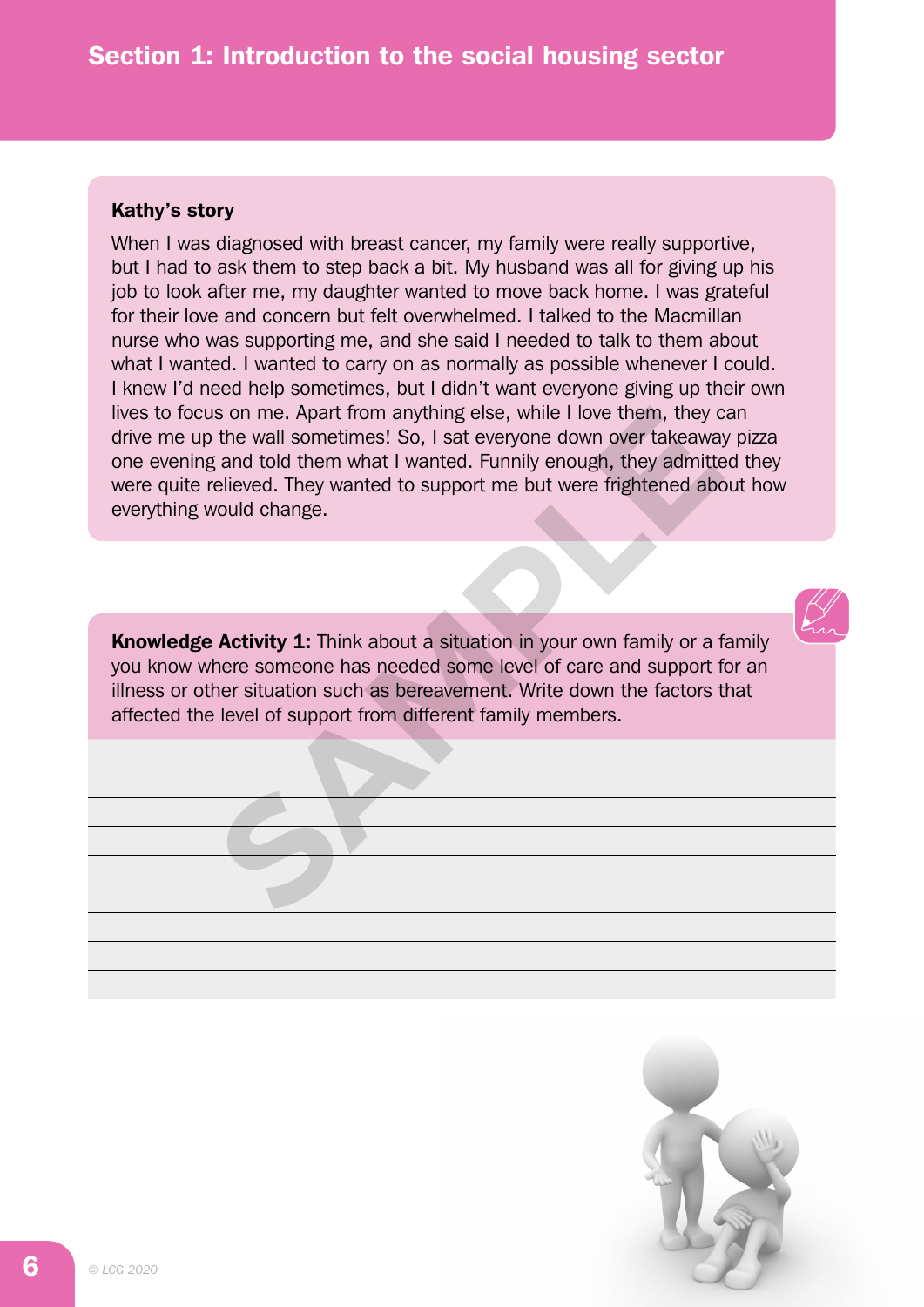### Kathy's story

When I was diagnosed with breast cancer, my family were really supportive, but I had to ask them to step back a bit. My husband was all for giving up his job to look after me, my daughter wanted to move back home. I was grateful for their love and concern but felt overwhelmed. I talked to the Macmillan nurse who was supporting me, and she said I needed to talk to them about what I wanted. I wanted to carry on as normally as possible whenever I could. I knew I'd need help sometimes, but I didn't want everyone giving up their own lives to focus on me. Apart from anything else, while I love them, they can drive me up the wall sometimes! So, I sat everyone down over takeaway pizza one evening and told them what I wanted. Funnily enough, they admitted they were quite relieved. They wanted to support me but were frightened about how everything would change. Is on me. Apart from anything else, while I love them, they compose the wall sometimes! So, I sat everyone down over takeaway and told them what I wanted. Funnily enough, they admitted relieved. They wanted to support me b

**Knowledge Activity 1:** Think about a situation in your own family or a family you know where someone has needed some level of care and support for an illness or other situation such as bereavement. Write down the factors that affected the level of support from different family members.

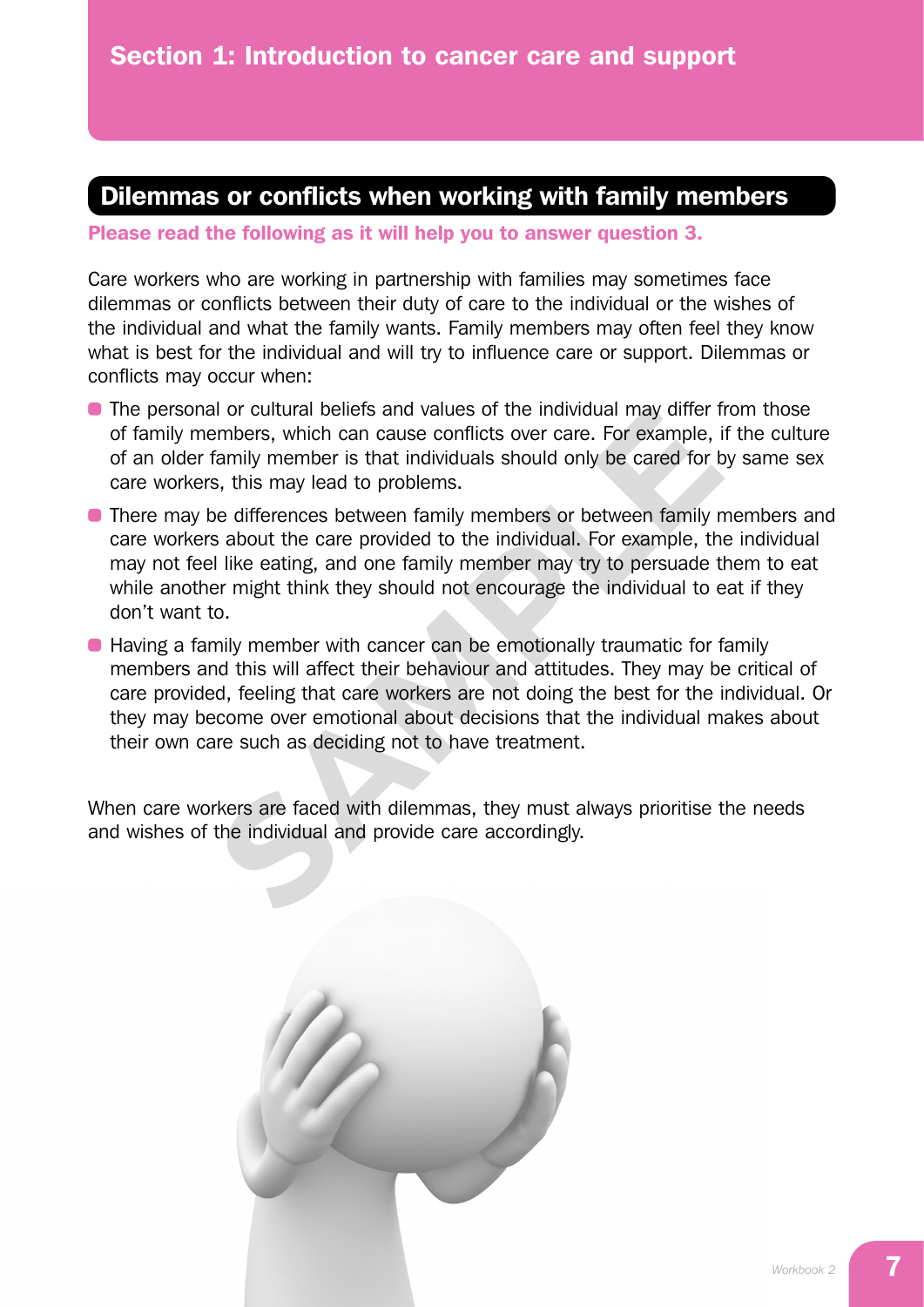# Dilemmas or conflicts when working with family members

Please read the following as it will help you to answer question 3.

Care workers who are working in partnership with families may sometimes face dilemmas or conflicts between their duty of care to the individual or the wishes of the individual and what the family wants. Family members may often feel they know what is best for the individual and will try to influence care or support. Dilemmas or conflicts may occur when:

- The personal or cultural beliefs and values of the individual may differ from those of family members, which can cause conflicts over care. For example, if the culture of an older family member is that individuals should only be cared for by same sex care workers, this may lead to problems.
- **There may be differences between family members or between family members and** care workers about the care provided to the individual. For example, the individual may not feel like eating, and one family member may try to persuade them to eat while another might think they should not encourage the individual to eat if they don't want to.
- Having a family member with cancer can be emotionally traumatic for family members and this will affect their behaviour and attitudes. They may be critical of care provided, feeling that care workers are not doing the best for the individual. Or they may become over emotional about decisions that the individual makes about their own care such as deciding not to have treatment. al or cultural beliefs and values of the individual may differ t<br>embers, which can cause conflicts over care. For example, if<br>family member is that individuals should only be cared for b<br>s, this may lead to problems.<br>be di

When care workers are faced with dilemmas, they must always prioritise the needs and wishes of the individual and provide care accordingly.

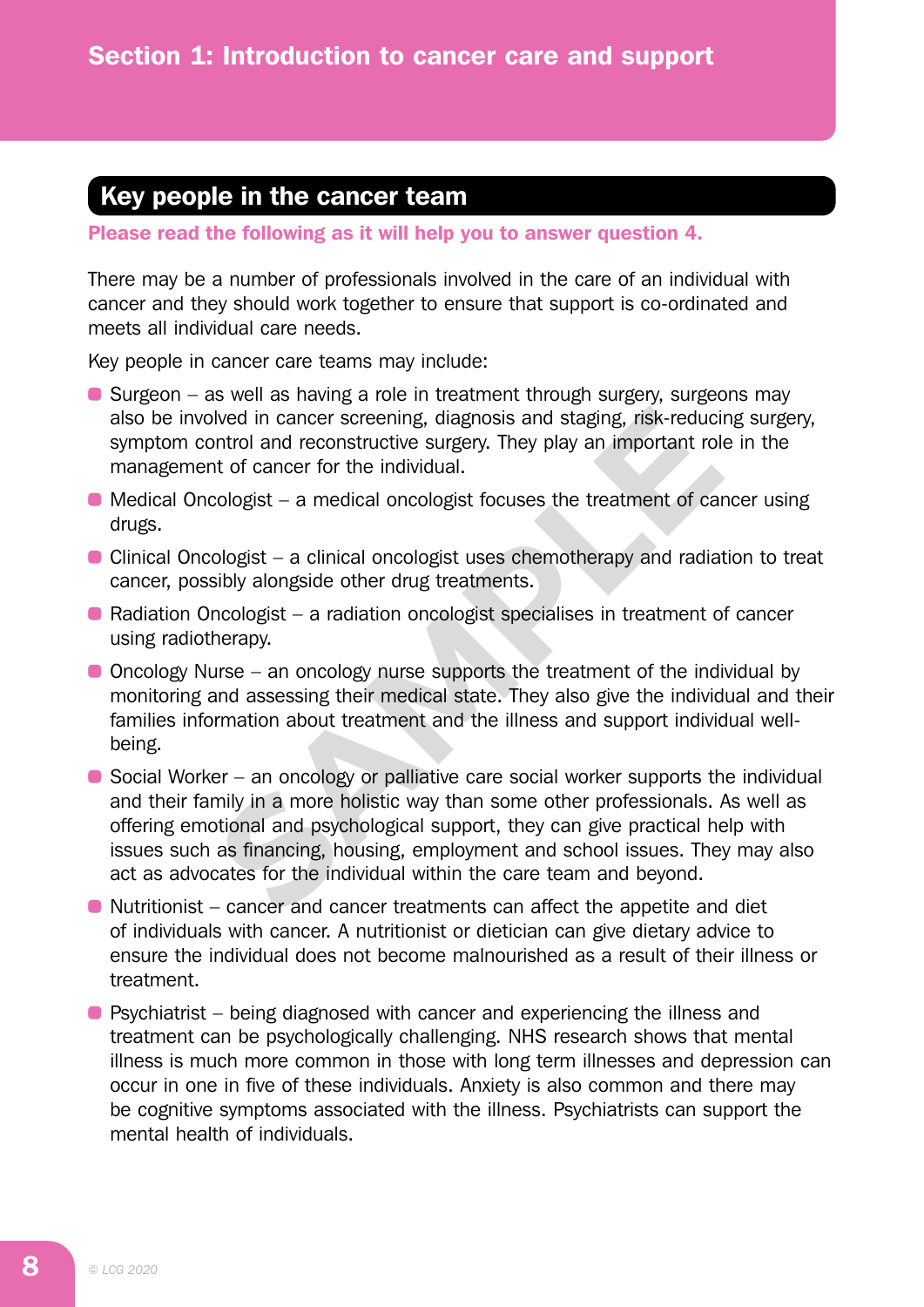# Key people in the cancer team

Please read the following as it will help you to answer question 4.

There may be a number of professionals involved in the care of an individual with cancer and they should work together to ensure that support is co-ordinated and meets all individual care needs.

Key people in cancer care teams may include:

- $\bullet$  Surgeon as well as having a role in treatment through surgery, surgeons may also be involved in cancer screening, diagnosis and staging, risk-reducing surgery, symptom control and reconstructive surgery. They play an important role in the management of cancer for the individual.
- $\bullet$  Medical Oncologist a medical oncologist focuses the treatment of cancer using drugs.
- Clinical Oncologist a clinical oncologist uses chemotherapy and radiation to treat cancer, possibly alongside other drug treatments.
- Radiation Oncologist a radiation oncologist specialises in treatment of cancer using radiotherapy.
- Oncology Nurse an oncology nurse supports the treatment of the individual by monitoring and assessing their medical state. They also give the individual and their families information about treatment and the illness and support individual wellbeing.
- $\bullet$  Social Worker an oncology or palliative care social worker supports the individual and their family in a more holistic way than some other professionals. As well as offering emotional and psychological support, they can give practical help with issues such as financing, housing, employment and school issues. They may also act as advocates for the individual within the care team and beyond. blved in cancer screening, diagnosis and staging, risk-reduciontrol and reconstructive surgery. They play an important rolm of cancer for the individual.<br>
cologist – a medical oncologist focuses the treatment of cancelogis
- Nutritionist cancer and cancer treatments can affect the appetite and diet of individuals with cancer. A nutritionist or dietician can give dietary advice to ensure the individual does not become malnourished as a result of their illness or treatment.
- Psychiatrist being diagnosed with cancer and experiencing the illness and treatment can be psychologically challenging. NHS research shows that mental illness is much more common in those with long term illnesses and depression can occur in one in five of these individuals. Anxiety is also common and there may be cognitive symptoms associated with the illness. Psychiatrists can support the mental health of individuals.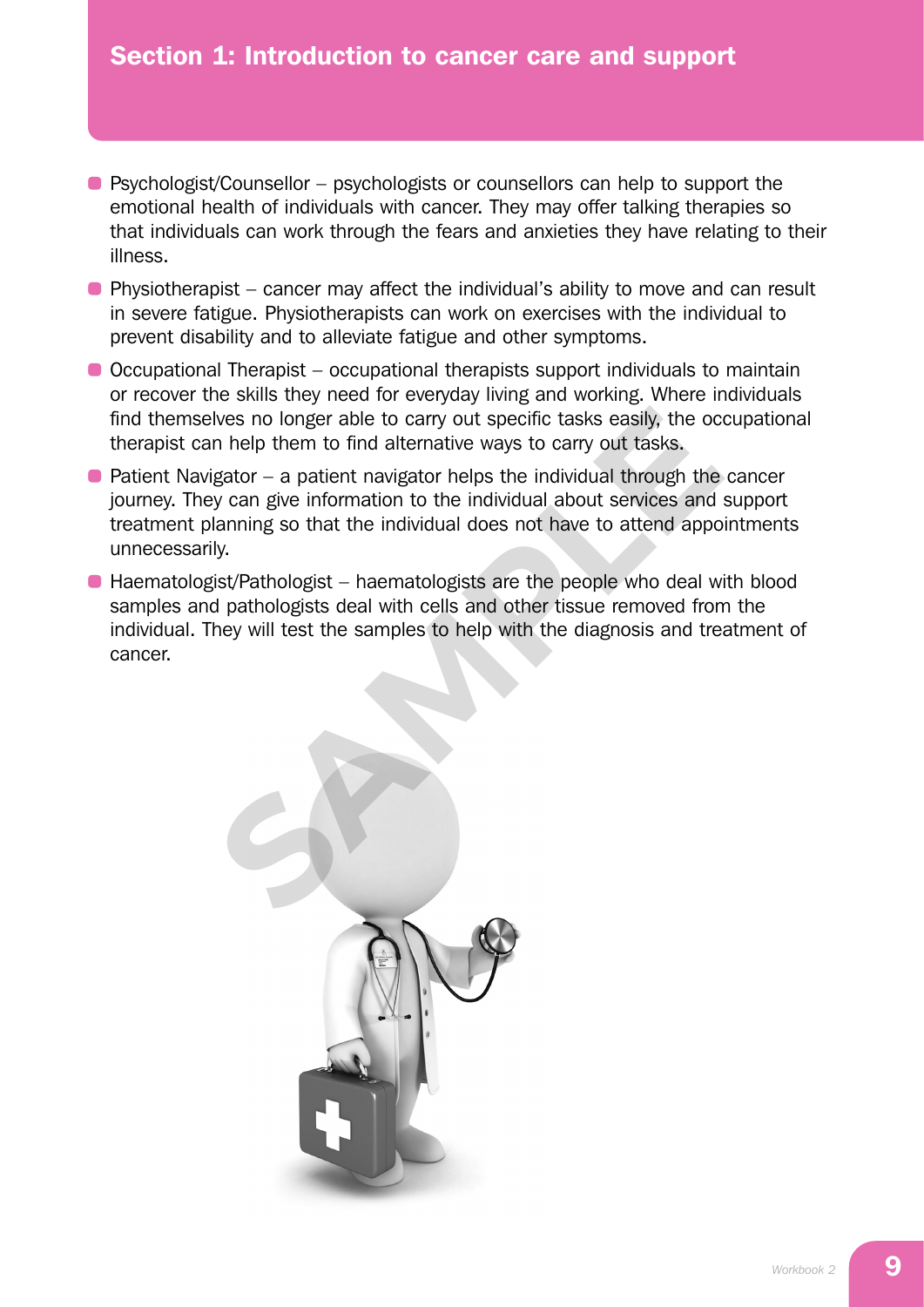- Psychologist/Counsellor psychologists or counsellors can help to support the emotional health of individuals with cancer. They may offer talking therapies so that individuals can work through the fears and anxieties they have relating to their illness.
- Physiotherapist cancer may affect the individual's ability to move and can result in severe fatigue. Physiotherapists can work on exercises with the individual to prevent disability and to alleviate fatigue and other symptoms.
- Occupational Therapist occupational therapists support individuals to maintain or recover the skills they need for everyday living and working. Where individuals find themselves no longer able to carry out specific tasks easily, the occupational therapist can help them to find alternative ways to carry out tasks.
- $\bullet$  Patient Navigator a patient navigator helps the individual through the cancer journey. They can give information to the individual about services and support treatment planning so that the individual does not have to attend appointments unnecessarily.
- Haematologist/Pathologist haematologists are the people who deal with blood samples and pathologists deal with cells and other tissue removed from the individual. They will test the samples to help with the diagnosis and treatment of cancer.

elves no longer able to carry out specific tasks easily, the occurries on help them to find alternative ways to carry out tasks.<br>
Eigator – a patient navigator helps the individual through the<br>
sy can give information to t